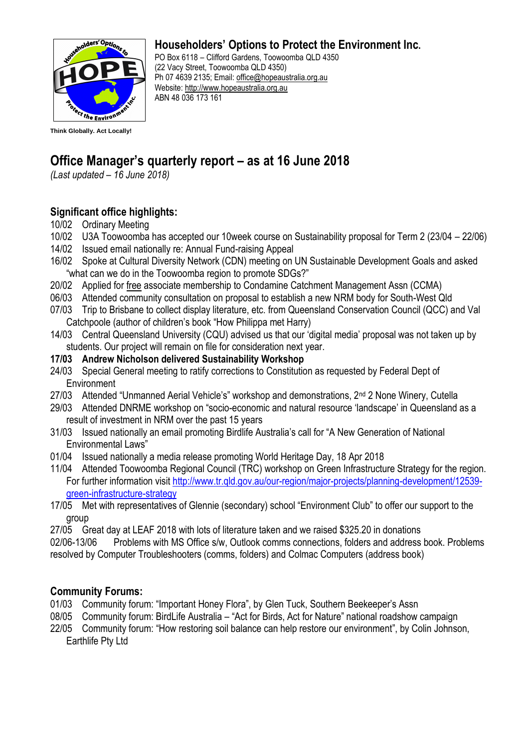

# **Householders' Options to Protect the Environment Inc.**

PO Box 6118 – Clifford Gardens, Toowoomba QLD 4350 (22 Vacy Street, Toowoomba QLD 4350) Ph 07 4639 2135; Email: [office@hopeaustralia.org.au](mailto:office@hopeaustralia.org.au)  Website: [http://www.hopeaustralia.org.au](http://www.hopeaustralia.org.au/) ABN 48 036 173 161

# **Office Manager's quarterly report – as at 16 June 2018**

*(Last updated – 16 June 2018)*

# **Significant office highlights:**

- 10/02 Ordinary Meeting
- 10/02 U3A Toowoomba has accepted our 10week course on Sustainability proposal for Term 2 (23/04 22/06)
- 14/02 Issued email nationally re: Annual Fund-raising Appeal
- 16/02 Spoke at Cultural Diversity Network (CDN) meeting on UN Sustainable Development Goals and asked "what can we do in the Toowoomba region to promote SDGs?"
- 20/02 Applied for free associate membership to Condamine Catchment Management Assn (CCMA)
- 06/03 Attended community consultation on proposal to establish a new NRM body for South-West Qld
- 07/03 Trip to Brisbane to collect display literature, etc. from Queensland Conservation Council (QCC) and Val Catchpoole (author of children's book "How Philippa met Harry)
- 14/03 Central Queensland University (CQU) advised us that our 'digital media' proposal was not taken up by students. Our project will remain on file for consideration next year.
- **17/03 Andrew Nicholson delivered Sustainability Workshop**
- 24/03 Special General meeting to ratify corrections to Constitution as requested by Federal Dept of **Environment**
- 27/03 Attended "Unmanned Aerial Vehicle's" workshop and demonstrations, 2<sup>nd</sup> 2 None Winery, Cutella
- 29/03 Attended DNRME workshop on "socio-economic and natural resource 'landscape' in Queensland as a result of investment in NRM over the past 15 years
- 31/03 Issued nationally an email promoting Birdlife Australia's call for "A New Generation of National Environmental Laws"
- 01/04 Issued nationally a media release promoting World Heritage Day, 18 Apr 2018
- 11/04 Attended Toowoomba Regional Council (TRC) workshop on Green Infrastructure Strategy for the region. For further information visit [http://www.tr.qld.gov.au/our-region/major-projects/planning-development/12539](http://www.tr.qld.gov.au/our-region/major-projects/planning-development/12539-green-infrastructure-strategy) [green-infrastructure-strategy](http://www.tr.qld.gov.au/our-region/major-projects/planning-development/12539-green-infrastructure-strategy)
- 17/05 Met with representatives of Glennie (secondary) school "Environment Club" to offer our support to the group
- 27/05 Great day at LEAF 2018 with lots of literature taken and we raised \$325.20 in donations

02/06-13/06 Problems with MS Office s/w, Outlook comms connections, folders and address book. Problems resolved by Computer Troubleshooters (comms, folders) and Colmac Computers (address book)

# **Community Forums:**

- 01/03 Community forum: "Important Honey Flora", by Glen Tuck, Southern Beekeeper's Assn
- 08/05 Community forum: BirdLife Australia "Act for Birds, Act for Nature" national roadshow campaign
- 22/05 Community forum: "How restoring soil balance can help restore our environment", by Colin Johnson, Earthlife Pty Ltd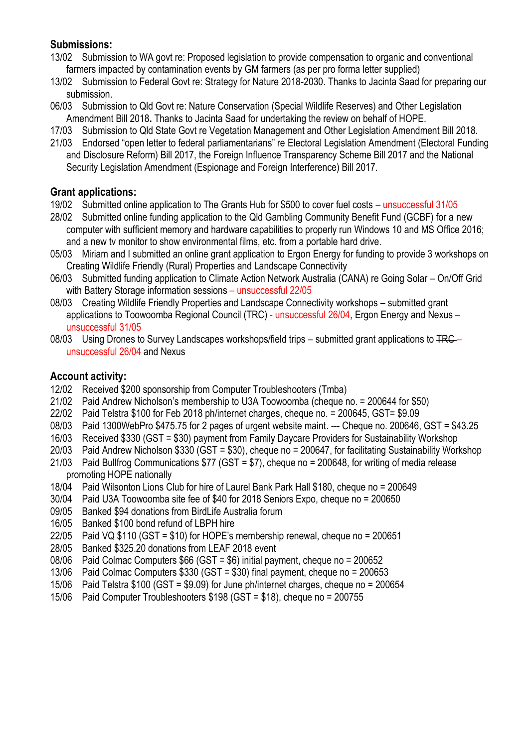# **Submissions:**

- 13/02 Submission to WA govt re: Proposed legislation to provide compensation to organic and conventional farmers impacted by contamination events by GM farmers (as per pro forma letter supplied)
- 13/02 Submission to Federal Govt re: Strategy for Nature 2018-2030. Thanks to Jacinta Saad for preparing our submission.
- 06/03 Submission to Qld Govt re: Nature Conservation (Special Wildlife Reserves) and Other Legislation Amendment Bill 2018**.** Thanks to Jacinta Saad for undertaking the review on behalf of HOPE.
- 17/03 Submission to Qld State Govt re Vegetation Management and Other Legislation Amendment Bill 2018.
- 21/03 Endorsed "open letter to federal parliamentarians" re Electoral Legislation Amendment (Electoral Funding and Disclosure Reform) Bill 2017, the Foreign Influence Transparency Scheme Bill 2017 and the National Security Legislation Amendment (Espionage and Foreign Interference) Bill 2017.

# **Grant applications:**

- 19/02 Submitted online application to The Grants Hub for \$500 to cover fuel costs unsuccessful 31/05
- 28/02 Submitted online funding application to the Qld Gambling Community Benefit Fund (GCBF) for a new computer with sufficient memory and hardware capabilities to properly run Windows 10 and MS Office 2016; and a new tv monitor to show environmental films, etc. from a portable hard drive.
- 05/03 Miriam and I submitted an online grant application to Ergon Energy for funding to provide 3 workshops on Creating Wildlife Friendly (Rural) Properties and Landscape Connectivity
- 06/03 Submitted funding application to Climate Action Network Australia (CANA) re Going Solar On/Off Grid with Battery Storage information sessions – unsuccessful 22/05
- 08/03 Creating Wildlife Friendly Properties and Landscape Connectivity workshops submitted grant applications to Toowoomba Regional Council (TRC) - unsuccessful 26/04, Ergon Energy and Nexus – unsuccessful 31/05
- 08/03 Using Drones to Survey Landscapes workshops/field trips submitted grant applications to TRC unsuccessful 26/04 and Nexus

# **Account activity:**

- 12/02 Received \$200 sponsorship from Computer Troubleshooters (Tmba)
- 21/02 Paid Andrew Nicholson's membership to U3A Toowoomba (cheque no. = 200644 for \$50)
- 22/02 Paid Telstra \$100 for Feb 2018 ph/internet charges, cheque no. = 200645, GST= \$9.09
- 08/03 Paid 1300WebPro \$475.75 for 2 pages of urgent website maint. --- Cheque no. 200646, GST = \$43.25
- 16/03 Received \$330 (GST = \$30) payment from Family Daycare Providers for Sustainability Workshop
- 20/03 Paid Andrew Nicholson \$330 (GST = \$30), cheque no = 200647, for facilitating Sustainability Workshop
- 21/03 Paid Bullfrog Communications \$77 (GST = \$7), cheque no = 200648, for writing of media release promoting HOPE nationally
- 18/04 Paid Wilsonton Lions Club for hire of Laurel Bank Park Hall \$180, cheque no = 200649
- 30/04 Paid U3A Toowoomba site fee of \$40 for 2018 Seniors Expo, cheque no = 200650
- 09/05 Banked \$94 donations from BirdLife Australia forum
- 16/05 Banked \$100 bond refund of LBPH hire
- 22/05 Paid VQ \$110 (GST = \$10) for HOPE's membership renewal, cheque no = 200651
- 28/05 Banked \$325.20 donations from LEAF 2018 event
- 08/06 Paid Colmac Computers \$66 (GST = \$6) initial payment, cheque no = 200652
- 13/06 Paid Colmac Computers \$330 (GST = \$30) final payment, cheque no = 200653
- 15/06 Paid Telstra \$100 (GST = \$9.09) for June ph/internet charges, cheque no = 200654
- 15/06 Paid Computer Troubleshooters \$198 (GST = \$18), cheque no = 200755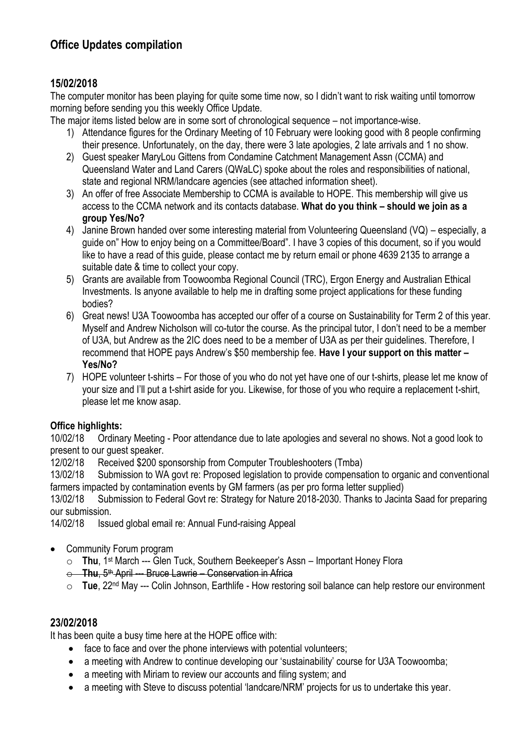# **Office Updates compilation**

# **15/02/2018**

The computer monitor has been playing for quite some time now, so I didn't want to risk waiting until tomorrow morning before sending you this weekly Office Update.

The major items listed below are in some sort of chronological sequence – not importance-wise.

- 1) Attendance figures for the Ordinary Meeting of 10 February were looking good with 8 people confirming their presence. Unfortunately, on the day, there were 3 late apologies, 2 late arrivals and 1 no show.
- 2) Guest speaker MaryLou Gittens from Condamine Catchment Management Assn (CCMA) and Queensland Water and Land Carers (QWaLC) spoke about the roles and responsibilities of national, state and regional NRM/landcare agencies (see attached information sheet).
- 3) An offer of free Associate Membership to CCMA is available to HOPE. This membership will give us access to the CCMA network and its contacts database. **What do you think – should we join as a group Yes/No?**
- 4) Janine Brown handed over some interesting material from Volunteering Queensland (VQ) especially, a guide on" How to enjoy being on a Committee/Board". I have 3 copies of this document, so if you would like to have a read of this guide, please contact me by return email or phone 4639 2135 to arrange a suitable date & time to collect your copy.
- 5) Grants are available from Toowoomba Regional Council (TRC), Ergon Energy and Australian Ethical Investments. Is anyone available to help me in drafting some project applications for these funding bodies?
- 6) Great news! U3A Toowoomba has accepted our offer of a course on Sustainability for Term 2 of this year. Myself and Andrew Nicholson will co-tutor the course. As the principal tutor, I don't need to be a member of U3A, but Andrew as the 2IC does need to be a member of U3A as per their guidelines. Therefore, I recommend that HOPE pays Andrew's \$50 membership fee. **Have I your support on this matter – Yes/No?**
- 7) HOPE volunteer t-shirts For those of you who do not yet have one of our t-shirts, please let me know of your size and I'll put a t-shirt aside for you. Likewise, for those of you who require a replacement t-shirt, please let me know asap.

# **Office highlights:**

10/02/18 Ordinary Meeting - Poor attendance due to late apologies and several no shows. Not a good look to present to our guest speaker.

12/02/18 Received \$200 sponsorship from Computer Troubleshooters (Tmba)

13/02/18 Submission to WA govt re: Proposed legislation to provide compensation to organic and conventional farmers impacted by contamination events by GM farmers (as per pro forma letter supplied)

13/02/18 Submission to Federal Govt re: Strategy for Nature 2018-2030. Thanks to Jacinta Saad for preparing our submission.

14/02/18 Issued global email re: Annual Fund-raising Appeal

- Community Forum program
	- o **Thu**, 1st March --- Glen Tuck, Southern Beekeeper's Assn Important Honey Flora
	- o **Thu**, 5th April --- Bruce Lawrie Conservation in Africa
	- o **Tue**, 22nd May --- Colin Johnson, Earthlife How restoring soil balance can help restore our environment

#### **23/02/2018**

It has been quite a busy time here at the HOPE office with:

- face to face and over the phone interviews with potential volunteers;
- a meeting with Andrew to continue developing our 'sustainability' course for U3A Toowoomba;
- a meeting with Miriam to review our accounts and filing system; and
- a meeting with Steve to discuss potential 'landcare/NRM' projects for us to undertake this year.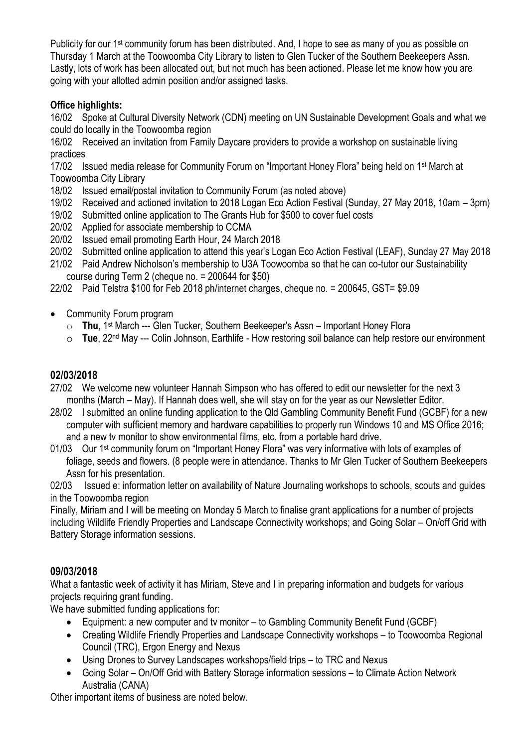Publicity for our 1<sup>st</sup> community forum has been distributed. And, I hope to see as many of you as possible on Thursday 1 March at the Toowoomba City Library to listen to Glen Tucker of the Southern Beekeepers Assn. Lastly, lots of work has been allocated out, but not much has been actioned. Please let me know how you are going with your allotted admin position and/or assigned tasks.

# **Office highlights:**

16/02 Spoke at Cultural Diversity Network (CDN) meeting on UN Sustainable Development Goals and what we could do locally in the Toowoomba region

16/02 Received an invitation from Family Daycare providers to provide a workshop on sustainable living practices

17/02 Issued media release for Community Forum on "Important Honey Flora" being held on 1st March at Toowoomba City Library

18/02 Issued email/postal invitation to Community Forum (as noted above)

19/02 Received and actioned invitation to 2018 Logan Eco Action Festival (Sunday, 27 May 2018, 10am – 3pm)

- 19/02 Submitted online application to The Grants Hub for \$500 to cover fuel costs
- 20/02 Applied for associate membership to CCMA
- 20/02 Issued email promoting Earth Hour, 24 March 2018
- 20/02 Submitted online application to attend this year's Logan Eco Action Festival (LEAF), Sunday 27 May 2018

21/02 Paid Andrew Nicholson's membership to U3A Toowoomba so that he can co-tutor our Sustainability course during Term 2 (cheque no. = 200644 for \$50)

22/02 Paid Telstra \$100 for Feb 2018 ph/internet charges, cheque no. = 200645, GST= \$9.09

- Community Forum program
	- o **Thu**, 1st March --- Glen Tucker, Southern Beekeeper's Assn Important Honey Flora
	- o **Tue**, 22nd May --- Colin Johnson, Earthlife How restoring soil balance can help restore our environment

# **02/03/2018**

- 27/02 We welcome new volunteer Hannah Simpson who has offered to edit our newsletter for the next 3 months (March – May). If Hannah does well, she will stay on for the year as our Newsletter Editor.
- 28/02 I submitted an online funding application to the Qld Gambling Community Benefit Fund (GCBF) for a new computer with sufficient memory and hardware capabilities to properly run Windows 10 and MS Office 2016; and a new tv monitor to show environmental films, etc. from a portable hard drive.
- 01/03 Our 1<sup>st</sup> community forum on "Important Honey Flora" was very informative with lots of examples of foliage, seeds and flowers. (8 people were in attendance. Thanks to Mr Glen Tucker of Southern Beekeepers Assn for his presentation.

02/03 Issued e: information letter on availability of Nature Journaling workshops to schools, scouts and guides in the Toowoomba region

Finally, Miriam and I will be meeting on Monday 5 March to finalise grant applications for a number of projects including Wildlife Friendly Properties and Landscape Connectivity workshops; and Going Solar – On/off Grid with Battery Storage information sessions.

# **09/03/2018**

What a fantastic week of activity it has Miriam, Steve and I in preparing information and budgets for various projects requiring grant funding.

We have submitted funding applications for:

- Equipment: a new computer and ty monitor to Gambling Community Benefit Fund (GCBF)
- Creating Wildlife Friendly Properties and Landscape Connectivity workshops to Toowoomba Regional Council (TRC), Ergon Energy and Nexus
- Using Drones to Survey Landscapes workshops/field trips to TRC and Nexus
- Going Solar On/Off Grid with Battery Storage information sessions to Climate Action Network Australia (CANA)

Other important items of business are noted below.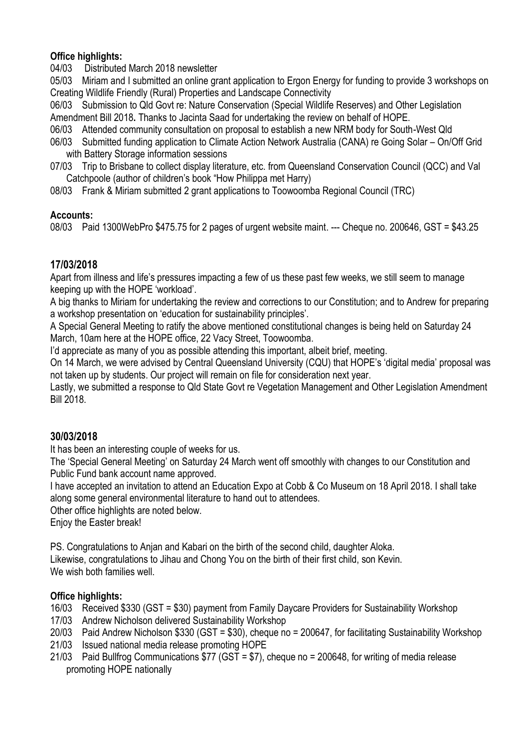# **Office highlights:**

04/03 Distributed March 2018 newsletter

05/03 Miriam and I submitted an online grant application to Ergon Energy for funding to provide 3 workshops on Creating Wildlife Friendly (Rural) Properties and Landscape Connectivity

06/03 Submission to Qld Govt re: Nature Conservation (Special Wildlife Reserves) and Other Legislation Amendment Bill 2018**.** Thanks to Jacinta Saad for undertaking the review on behalf of HOPE.

- 06/03 Attended community consultation on proposal to establish a new NRM body for South-West Qld
- 06/03 Submitted funding application to Climate Action Network Australia (CANA) re Going Solar On/Off Grid with Battery Storage information sessions
- 07/03 Trip to Brisbane to collect display literature, etc. from Queensland Conservation Council (QCC) and Val Catchpoole (author of children's book "How Philippa met Harry)
- 08/03 Frank & Miriam submitted 2 grant applications to Toowoomba Regional Council (TRC)

#### **Accounts:**

08/03 Paid 1300WebPro \$475.75 for 2 pages of urgent website maint. --- Cheque no. 200646, GST = \$43.25

# **17/03/2018**

Apart from illness and life's pressures impacting a few of us these past few weeks, we still seem to manage keeping up with the HOPE 'workload'.

A big thanks to Miriam for undertaking the review and corrections to our Constitution; and to Andrew for preparing a workshop presentation on 'education for sustainability principles'.

A Special General Meeting to ratify the above mentioned constitutional changes is being held on Saturday 24 March, 10am here at the HOPE office, 22 Vacy Street, Toowoomba.

I'd appreciate as many of you as possible attending this important, albeit brief, meeting.

On 14 March, we were advised by Central Queensland University (CQU) that HOPE's 'digital media' proposal was not taken up by students. Our project will remain on file for consideration next year.

Lastly, we submitted a response to Qld State Govt re Vegetation Management and Other Legislation Amendment Bill 2018.

# **30/03/2018**

It has been an interesting couple of weeks for us.

The 'Special General Meeting' on Saturday 24 March went off smoothly with changes to our Constitution and Public Fund bank account name approved.

I have accepted an invitation to attend an Education Expo at Cobb & Co Museum on 18 April 2018. I shall take along some general environmental literature to hand out to attendees.

Other office highlights are noted below.

Enjoy the Easter break!

PS. Congratulations to Anjan and Kabari on the birth of the second child, daughter Aloka.

Likewise, congratulations to Jihau and Chong You on the birth of their first child, son Kevin. We wish both families well.

# **Office highlights:**

16/03 Received \$330 (GST = \$30) payment from Family Daycare Providers for Sustainability Workshop

- 17/03 Andrew Nicholson delivered Sustainability Workshop
- 20/03 Paid Andrew Nicholson \$330 (GST = \$30), cheque no = 200647, for facilitating Sustainability Workshop
- 21/03 Issued national media release promoting HOPE
- 21/03 Paid Bullfrog Communications \$77 (GST = \$7), cheque no = 200648, for writing of media release promoting HOPE nationally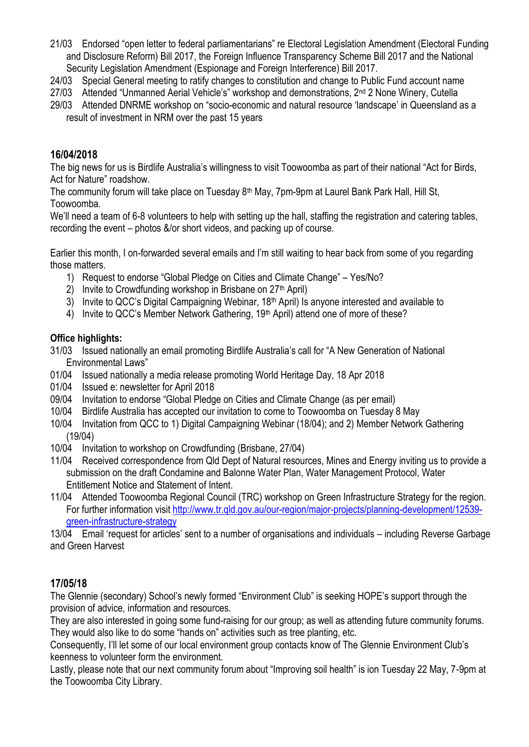- 21/03 Endorsed "open letter to federal parliamentarians" re Electoral Legislation Amendment (Electoral Funding and Disclosure Reform) Bill 2017, the Foreign Influence Transparency Scheme Bill 2017 and the National Security Legislation Amendment (Espionage and Foreign Interference) Bill 2017.
- 24/03 Special General meeting to ratify changes to constitution and change to Public Fund account name
- 27/03 Attended "Unmanned Aerial Vehicle's" workshop and demonstrations, 2<sup>nd</sup> 2 None Winery, Cutella
- 29/03 Attended DNRME workshop on "socio-economic and natural resource 'landscape' in Queensland as a result of investment in NRM over the past 15 years

# **16/04/2018**

The big news for us is Birdlife Australia's willingness to visit Toowoomba as part of their national "Act for Birds, Act for Nature" roadshow.

The community forum will take place on Tuesday 8<sup>th</sup> May, 7pm-9pm at Laurel Bank Park Hall, Hill St, Toowoomba.

We'll need a team of 6-8 volunteers to help with setting up the hall, staffing the registration and catering tables, recording the event – photos &/or short videos, and packing up of course.

Earlier this month, I on-forwarded several emails and I'm still waiting to hear back from some of you regarding those matters.

- 1) Request to endorse "Global Pledge on Cities and Climate Change" Yes/No?
- 2) Invite to Crowdfunding workshop in Brisbane on  $27<sup>th</sup>$  April)
- 3) Invite to QCC's Digital Campaigning Webinar, 18<sup>th</sup> April) Is anyone interested and available to
- 4) Invite to QCC's Member Network Gathering, 19<sup>th</sup> April) attend one of more of these?

# **Office highlights:**

- 31/03 Issued nationally an email promoting Birdlife Australia's call for "A New Generation of National Environmental Laws"
- 01/04 Issued nationally a media release promoting World Heritage Day, 18 Apr 2018
- 01/04 Issued e: newsletter for April 2018
- 09/04 Invitation to endorse "Global Pledge on Cities and Climate Change (as per email)
- 10/04 Birdlife Australia has accepted our invitation to come to Toowoomba on Tuesday 8 May
- 10/04 Invitation from QCC to 1) Digital Campaigning Webinar (18/04); and 2) Member Network Gathering (19/04)
- 10/04 Invitation to workshop on Crowdfunding (Brisbane, 27/04)
- 11/04 Received correspondence from Qld Dept of Natural resources, Mines and Energy inviting us to provide a submission on the draft Condamine and Balonne Water Plan, Water Management Protocol, Water Entitlement Notice and Statement of Intent.
- 11/04 Attended Toowoomba Regional Council (TRC) workshop on Green Infrastructure Strategy for the region. For further information visit [http://www.tr.qld.gov.au/our-region/major-projects/planning-development/12539](http://www.tr.qld.gov.au/our-region/major-projects/planning-development/12539-green-infrastructure-strategy) [green-infrastructure-strategy](http://www.tr.qld.gov.au/our-region/major-projects/planning-development/12539-green-infrastructure-strategy)

13/04 Email 'request for articles' sent to a number of organisations and individuals – including Reverse Garbage and Green Harvest

# **17/05/18**

The Glennie (secondary) School's newly formed "Environment Club" is seeking HOPE's support through the provision of advice, information and resources.

They are also interested in going some fund-raising for our group; as well as attending future community forums. They would also like to do some "hands on" activities such as tree planting, etc.

Consequently, I'll let some of our local environment group contacts know of The Glennie Environment Club's keenness to volunteer form the environment.

Lastly, please note that our next community forum about "Improving soil health" is ion Tuesday 22 May, 7-9pm at the Toowoomba City Library.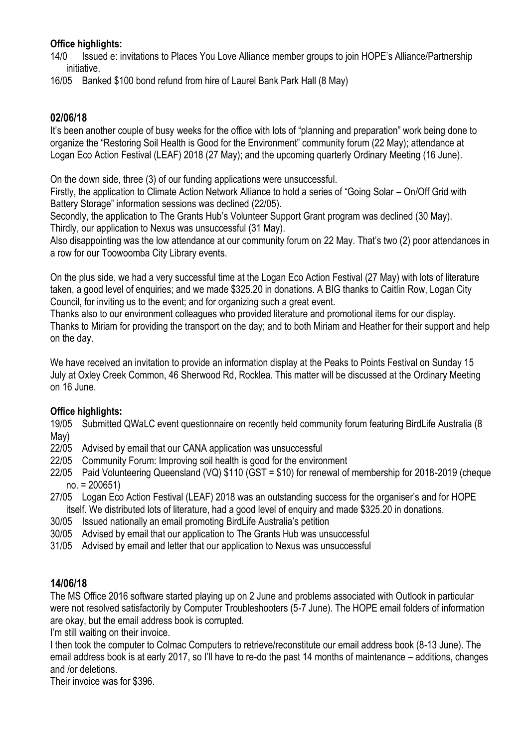### **Office highlights:**

14/0 Issued e: invitations to Places You Love Alliance member groups to join HOPE's Alliance/Partnership initiative.

16/05 Banked \$100 bond refund from hire of Laurel Bank Park Hall (8 May)

### **02/06/18**

It's been another couple of busy weeks for the office with lots of "planning and preparation" work being done to organize the "Restoring Soil Health is Good for the Environment" community forum (22 May); attendance at Logan Eco Action Festival (LEAF) 2018 (27 May); and the upcoming quarterly Ordinary Meeting (16 June).

On the down side, three (3) of our funding applications were unsuccessful.

Firstly, the application to Climate Action Network Alliance to hold a series of "Going Solar – On/Off Grid with Battery Storage" information sessions was declined (22/05).

Secondly, the application to The Grants Hub's Volunteer Support Grant program was declined (30 May). Thirdly, our application to Nexus was unsuccessful (31 May).

Also disappointing was the low attendance at our community forum on 22 May. That's two (2) poor attendances in a row for our Toowoomba City Library events.

On the plus side, we had a very successful time at the Logan Eco Action Festival (27 May) with lots of literature taken, a good level of enquiries; and we made \$325.20 in donations. A BIG thanks to Caitlin Row, Logan City Council, for inviting us to the event; and for organizing such a great event.

Thanks also to our environment colleagues who provided literature and promotional items for our display. Thanks to Miriam for providing the transport on the day; and to both Miriam and Heather for their support and help on the day.

We have received an invitation to provide an information display at the Peaks to Points Festival on Sunday 15 July at Oxley Creek Common, 46 Sherwood Rd, Rocklea. This matter will be discussed at the Ordinary Meeting on 16 June.

#### **Office highlights:**

19/05 Submitted QWaLC event questionnaire on recently held community forum featuring BirdLife Australia (8 May)

- 22/05 Advised by email that our CANA application was unsuccessful
- 22/05 Community Forum: Improving soil health is good for the environment
- 22/05 Paid Volunteering Queensland (VQ) \$110 (GST = \$10) for renewal of membership for 2018-2019 (cheque no. = 200651)
- 27/05 Logan Eco Action Festival (LEAF) 2018 was an outstanding success for the organiser's and for HOPE itself. We distributed lots of literature, had a good level of enquiry and made \$325.20 in donations.
- 30/05 Issued nationally an email promoting BirdLife Australia's petition
- 30/05 Advised by email that our application to The Grants Hub was unsuccessful
- 31/05 Advised by email and letter that our application to Nexus was unsuccessful

#### **14/06/18**

The MS Office 2016 software started playing up on 2 June and problems associated with Outlook in particular were not resolved satisfactorily by Computer Troubleshooters (5-7 June). The HOPE email folders of information are okay, but the email address book is corrupted.

I'm still waiting on their invoice.

I then took the computer to Colmac Computers to retrieve/reconstitute our email address book (8-13 June). The email address book is at early 2017, so I'll have to re-do the past 14 months of maintenance – additions, changes and /or deletions.

Their invoice was for \$396.